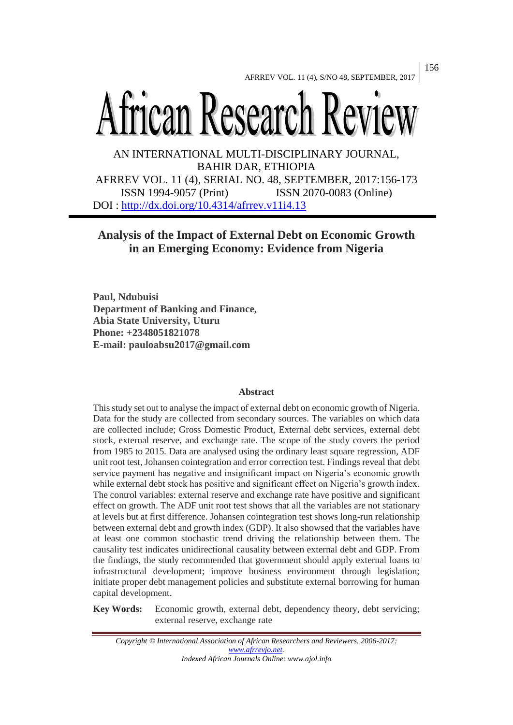AFRREV VOL. 11 (4), S/NO 48, SEPTEMBER, 2017

# African Research Review

AN INTERNATIONAL MULTI-DISCIPLINARY JOURNAL, BAHIR DAR, ETHIOPIA AFRREV VOL. 11 (4), SERIAL NO. 48, SEPTEMBER, 2017:156-173 ISSN 1994-9057 (Print) ISSN 2070-0083 (Online) DOI :<http://dx.doi.org/10.4314/afrrev.v11i4.13>

# **Analysis of the Impact of External Debt on Economic Growth in an Emerging Economy: Evidence from Nigeria**

**Paul, Ndubuisi Department of Banking and Finance, Abia State University, Uturu Phone: +2348051821078 E-mail: pauloabsu2017@gmail.com**

# **Abstract**

This study set out to analyse the impact of external debt on economic growth of Nigeria. Data for the study are collected from secondary sources. The variables on which data are collected include; Gross Domestic Product, External debt services, external debt stock, external reserve, and exchange rate. The scope of the study covers the period from 1985 to 2015. Data are analysed using the ordinary least square regression, ADF unit root test, Johansen cointegration and error correction test. Findings reveal that debt service payment has negative and insignificant impact on Nigeria's economic growth while external debt stock has positive and significant effect on Nigeria's growth index. The control variables: external reserve and exchange rate have positive and significant effect on growth. The ADF unit root test shows that all the variables are not stationary at levels but at first difference. Johansen cointegration test shows long-run relationship between external debt and growth index (GDP). It also showsed that the variables have at least one common stochastic trend driving the relationship between them. The causality test indicates unidirectional causality between external debt and GDP. From the findings, the study recommended that government should apply external loans to infrastructural development; improve business environment through legislation; initiate proper debt management policies and substitute external borrowing for human capital development.

**Key Words:** Economic growth, external debt, dependency theory, debt servicing; external reserve, exchange rate

*Copyright © International Association of African Researchers and Reviewers, 2006-2017: [www.afrrevjo.net.](http://www.afrrevjo.net/) Indexed African Journals Online: www.ajol.info*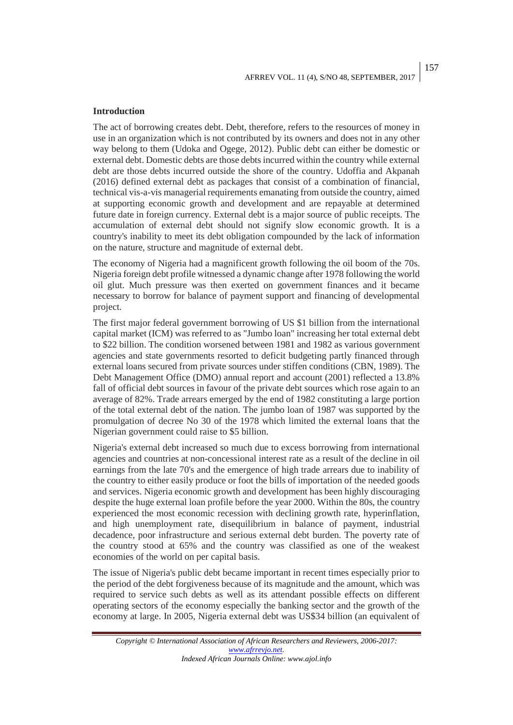### **Introduction**

The act of borrowing creates debt. Debt, therefore, refers to the resources of money in use in an organization which is not contributed by its owners and does not in any other way belong to them (Udoka and Ogege, 2012). Public debt can either be domestic or external debt. Domestic debts are those debts incurred within the country while external debt are those debts incurred outside the shore of the country. Udoffia and Akpanah (2016) defined external debt as packages that consist of a combination of financial, technical vis-a-vis managerial requirements emanating from outside the country, aimed at supporting economic growth and development and are repayable at determined future date in foreign currency. External debt is a major source of public receipts. The accumulation of external debt should not signify slow economic growth. It is a country's inability to meet its debt obligation compounded by the lack of information on the nature, structure and magnitude of external debt.

The economy of Nigeria had a magnificent growth following the oil boom of the 70s. Nigeria foreign debt profile witnessed a dynamic change after 1978 following the world oil glut. Much pressure was then exerted on government finances and it became necessary to borrow for balance of payment support and financing of developmental project.

The first major federal government borrowing of US \$1 billion from the international capital market (ICM) was referred to as "Jumbo loan" increasing her total external debt to \$22 billion. The condition worsened between 1981 and 1982 as various government agencies and state governments resorted to deficit budgeting partly financed through external loans secured from private sources under stiffen conditions (CBN, 1989). The Debt Management Office (DMO) annual report and account (2001) reflected a 13.8% fall of official debt sources in favour of the private debt sources which rose again to an average of 82%. Trade arrears emerged by the end of 1982 constituting a large portion of the total external debt of the nation. The jumbo loan of 1987 was supported by the promulgation of decree No 30 of the 1978 which limited the external loans that the Nigerian government could raise to \$5 billion.

Nigeria's external debt increased so much due to excess borrowing from international agencies and countries at non-concessional interest rate as a result of the decline in oil earnings from the late 70's and the emergence of high trade arrears due to inability of the country to either easily produce or foot the bills of importation of the needed goods and services. Nigeria economic growth and development has been highly discouraging despite the huge external loan profile before the year 2000. Within the 80s, the country experienced the most economic recession with declining growth rate, hyperinflation, and high unemployment rate, disequilibrium in balance of payment, industrial decadence, poor infrastructure and serious external debt burden. The poverty rate of the country stood at 65% and the country was classified as one of the weakest economies of the world on per capital basis.

The issue of Nigeria's public debt became important in recent times especially prior to the period of the debt forgiveness because of its magnitude and the amount, which was required to service such debts as well as its attendant possible effects on different operating sectors of the economy especially the banking sector and the growth of the economy at large. In 2005, Nigeria external debt was US\$34 billion (an equivalent of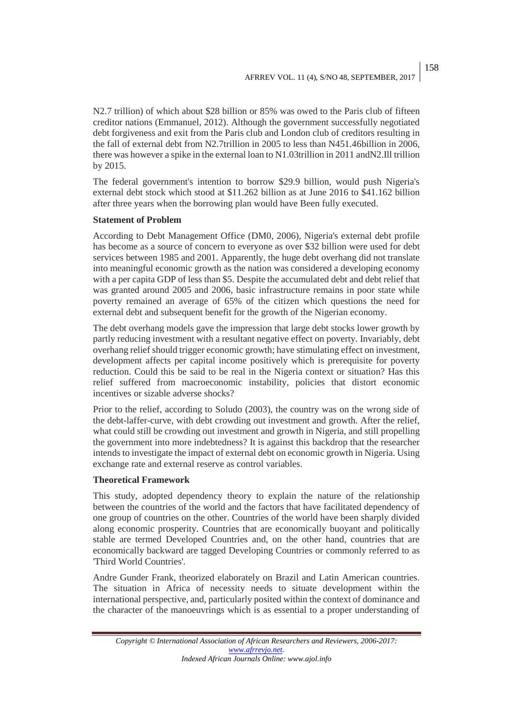N2.7 trillion) of which about \$28 billion or 85% was owed to the Paris club of fifteen creditor nations (Emmanuel, 2012). Although the government successfully negotiated debt forgiveness and exit from the Paris club and London club of creditors resulting in the fall of external debt from N2.7trillion in 2005 to less than N451.46billion in 2006, there was however a spike in the external loan to N1.03trillion in 2011 andN2.Ill trillion by 2015.

The federal government's intention to borrow \$29.9 billion, would push Nigeria's external debt stock which stood at \$11.262 billion as at June 2016 to \$41.162 billion after three years when the borrowing plan would have Been fully executed.

# **Statement of Problem**

According to Debt Management Office (DM0, 2006), Nigeria's external debt profile has become as a source of concern to everyone as over \$32 billion were used for debt services between 1985 and 2001. Apparently, the huge debt overhang did not translate into meaningful economic growth as the nation was considered a developing economy with a per capita GDP of less than \$5. Despite the accumulated debt and debt relief that was granted around 2005 and 2006, basic infrastructure remains in poor state while poverty remained an average of 65% of the citizen which questions the need for external debt and subsequent benefit for the growth of the Nigerian economy.

The debt overhang models gave the impression that large debt stocks lower growth by partly reducing investment with a resultant negative effect on poverty. Invariably, debt overhang relief should trigger economic growth; have stimulating effect on investment, development affects per capital income positively which is prerequisite for poverty reduction. Could this be said to be real in the Nigeria context or situation? Has this relief suffered from macroeconomic instability, policies that distort economic incentives or sizable adverse shocks?

Prior to the relief, according to Soludo (2003), the country was on the wrong side of the debt-laffer-curve, with debt crowding out investment and growth. After the relief, what could still be crowding out investment and growth in Nigeria, and still propelling the government into more indebtedness? It is against this backdrop that the researcher intends to investigate the impact of external debt on economic growth in Nigeria. Using exchange rate and external reserve as control variables.

# **Theoretical Framework**

This study, adopted dependency theory to explain the nature of the relationship between the countries of the world and the factors that have facilitated dependency of one group of countries on the other. Countries of the world have been sharply divided along economic prosperity. Countries that are economically buoyant and politically stable are termed Developed Countries and, on the other hand, countries that are economically backward are tagged Developing Countries or commonly referred to as 'Third World Countries'.

Andre Gunder Frank, theorized elaborately on Brazil and Latin American countries. The situation in Africa of necessity needs to situate development within the international perspective, and, particularly posited within the context of dominance and the character of the manoeuvrings which is as essential to a proper understanding of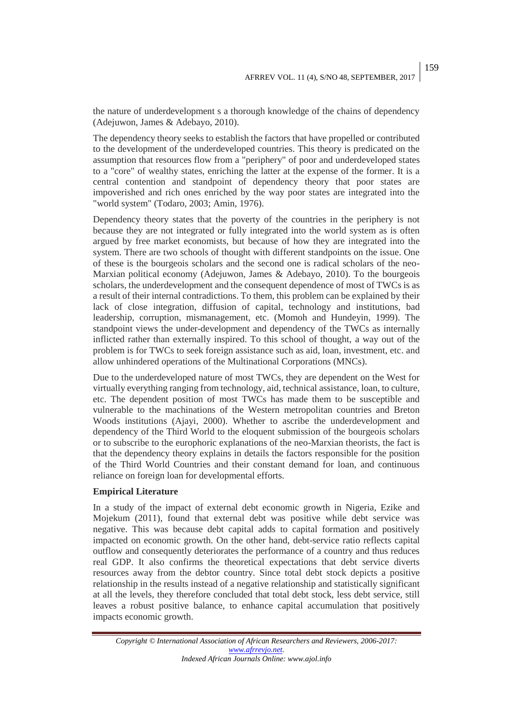the nature of underdevelopment s a thorough knowledge of the chains of dependency (Adejuwon, James & Adebayo, 2010).

The dependency theory seeks to establish the factors that have propelled or contributed to the development of the underdeveloped countries. This theory is predicated on the assumption that resources flow from a "periphery" of poor and underdeveloped states to a "core" of wealthy states, enriching the latter at the expense of the former. It is a central contention and standpoint of dependency theory that poor states are impoverished and rich ones enriched by the way poor states are integrated into the "world system" (Todaro, 2003; Amin, 1976).

Dependency theory states that the poverty of the countries in the periphery is not because they are not integrated or fully integrated into the world system as is often argued by free market economists, but because of how they are integrated into the system. There are two schools of thought with different standpoints on the issue. One of these is the bourgeois scholars and the second one is radical scholars of the neo-Marxian political economy (Adejuwon, James & Adebayo, 2010). To the bourgeois scholars, the underdevelopment and the consequent dependence of most of TWCs is as a result of their internal contradictions. To them, this problem can be explained by their lack of close integration, diffusion of capital, technology and institutions, bad leadership, corruption, mismanagement, etc. (Momoh and Hundeyin, 1999). The standpoint views the under-development and dependency of the TWCs as internally inflicted rather than externally inspired. To this school of thought, a way out of the problem is for TWCs to seek foreign assistance such as aid, loan, investment, etc. and allow unhindered operations of the Multinational Corporations (MNCs).

Due to the underdeveloped nature of most TWCs, they are dependent on the West for virtually everything ranging from technology, aid, technical assistance, loan, to culture, etc. The dependent position of most TWCs has made them to be susceptible and vulnerable to the machinations of the Western metropolitan countries and Breton Woods institutions (Ajayi, 2000). Whether to ascribe the underdevelopment and dependency of the Third World to the eloquent submission of the bourgeois scholars or to subscribe to the europhoric explanations of the neo-Marxian theorists, the fact is that the dependency theory explains in details the factors responsible for the position of the Third World Countries and their constant demand for loan, and continuous reliance on foreign loan for developmental efforts.

### **Empirical Literature**

In a study of the impact of external debt economic growth in Nigeria, Ezike and Mojekum (2011), found that external debt was positive while debt service was negative. This was because debt capital adds to capital formation and positively impacted on economic growth. On the other hand, debt-service ratio reflects capital outflow and consequently deteriorates the performance of a country and thus reduces real GDP. It also confirms the theoretical expectations that debt service diverts resources away from the debtor country. Since total debt stock depicts a positive relationship in the results instead of a negative relationship and statistically significant at all the levels, they therefore concluded that total debt stock, less debt service, still leaves a robust positive balance, to enhance capital accumulation that positively impacts economic growth.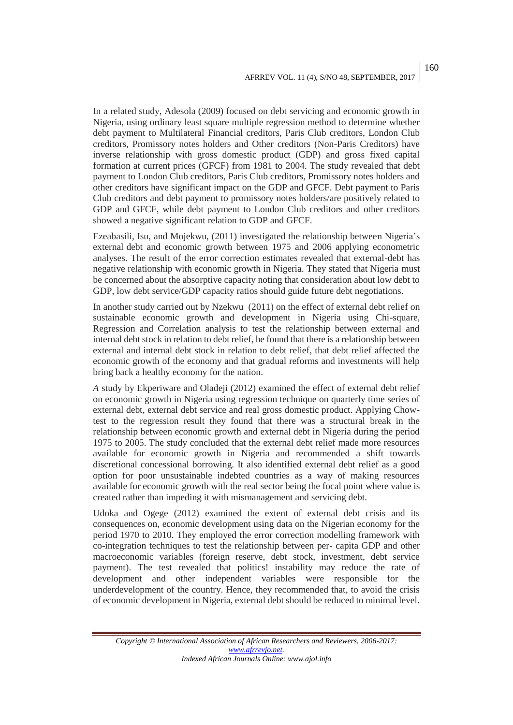In a related study, Adesola (2009) focused on debt servicing and economic growth in Nigeria, using ordinary least square multiple regression method to determine whether debt payment to Multilateral Financial creditors, Paris Club creditors, London Club creditors, Promissory notes holders and Other creditors (Non-Paris Creditors) have inverse relationship with gross domestic product (GDP) and gross fixed capital formation at current prices (GFCF) from 1981 to 2004. The study revealed that debt payment to London Club creditors, Paris Club creditors, Promissory notes holders and other creditors have significant impact on the GDP and GFCF. Debt payment to Paris Club creditors and debt payment to promissory notes holders/are positively related to GDP and GFCF, while debt payment to London Club creditors and other creditors showed a negative significant relation to GDP and GFCF.

Ezeabasili, Isu, and Mojekwu, (2011) investigated the relationship between Nigeria's external debt and economic growth between 1975 and 2006 applying econometric analyses. The result of the error correction estimates revealed that external-debt has negative relationship with economic growth in Nigeria. They stated that Nigeria must be concerned about the absorptive capacity noting that consideration about low debt to GDP, low debt service/GDP capacity ratios should guide future debt negotiations.

In another study carried out by Nzekwu (2011) on the effect of external debt relief on sustainable economic growth and development in Nigeria using Chi-square, Regression and Correlation analysis to test the relationship between external and internal debt stock in relation to debt relief, he found that there is a relationship between external and internal debt stock in relation to debt relief, that debt relief affected the economic growth of the economy and that gradual reforms and investments will help bring back a healthy economy for the nation.

*A* study by Ekperiware and Oladeji (2012) examined the effect of external debt relief on economic growth in Nigeria using regression technique on quarterly time series of external debt, external debt service and real gross domestic product. Applying Chowtest to the regression result they found that there was a structural break in the relationship between economic growth and external debt in Nigeria during the period 1975 to 2005. The study concluded that the external debt relief made more resources available for economic growth in Nigeria and recommended a shift towards discretional concessional borrowing. It also identified external debt relief as a good option for poor unsustainable indebted countries as a way of making resources available for economic growth with the real sector being the focal point where value is created rather than impeding it with mismanagement and servicing debt.

Udoka and Ogege (2012) examined the extent of external debt crisis and its consequences on, economic development using data on the Nigerian economy for the period 1970 to 2010. They employed the error correction modelling framework with co-integration techniques to test the relationship between per- capita GDP and other macroeconomic variables (foreign reserve, debt stock, investment, debt service payment). The test revealed that politics! instability may reduce the rate of development and other independent variables were responsible for the underdevelopment of the country. Hence, they recommended that, to avoid the crisis of economic development in Nigeria, external debt should be reduced to minimal level.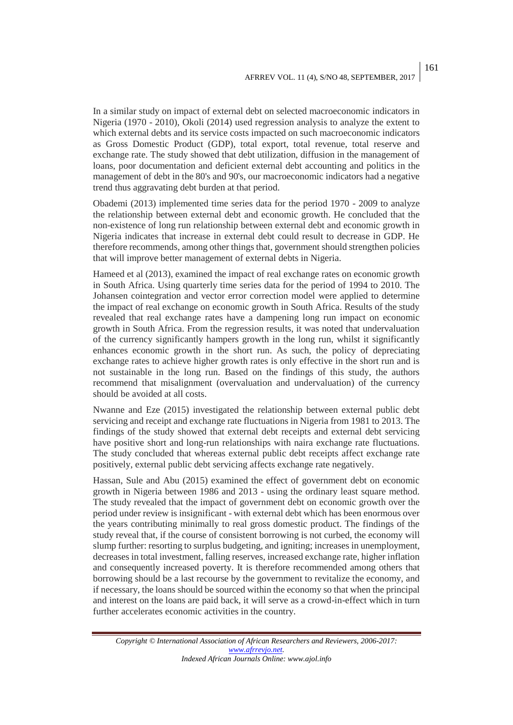In a similar study on impact of external debt on selected macroeconomic indicators in Nigeria (1970 - 2010), Okoli (2014) used regression analysis to analyze the extent to which external debts and its service costs impacted on such macroeconomic indicators as Gross Domestic Product (GDP), total export, total revenue, total reserve and exchange rate. The study showed that debt utilization, diffusion in the management of loans, poor documentation and deficient external debt accounting and politics in the management of debt in the 80's and 90's, our macroeconomic indicators had a negative trend thus aggravating debt burden at that period.

Obademi (2013) implemented time series data for the period 1970 - 2009 to analyze the relationship between external debt and economic growth. He concluded that the non-existence of long run relationship between external debt and economic growth in Nigeria indicates that increase in external debt could result to decrease in GDP. He therefore recommends, among other things that, government should strengthen policies that will improve better management of external debts in Nigeria.

Hameed et al (2013), examined the impact of real exchange rates on economic growth in South Africa. Using quarterly time series data for the period of 1994 to 2010. The Johansen cointegration and vector error correction model were applied to determine the impact of real exchange on economic growth in South Africa. Results of the study revealed that real exchange rates have a dampening long run impact on economic growth in South Africa. From the regression results, it was noted that undervaluation of the currency significantly hampers growth in the long run, whilst it significantly enhances economic growth in the short run. As such, the policy of depreciating exchange rates to achieve higher growth rates is only effective in the short run and is not sustainable in the long run. Based on the findings of this study, the authors recommend that misalignment (overvaluation and undervaluation) of the currency should be avoided at all costs.

Nwanne and Eze (2015) investigated the relationship between external public debt servicing and receipt and exchange rate fluctuations in Nigeria from 1981 to 2013. The findings of the study showed that external debt receipts and external debt servicing have positive short and long-run relationships with naira exchange rate fluctuations. The study concluded that whereas external public debt receipts affect exchange rate positively, external public debt servicing affects exchange rate negatively.

Hassan, Sule and Abu (2015) examined the effect of government debt on economic growth in Nigeria between 1986 and 2013 - using the ordinary least square method. The study revealed that the impact of government debt on economic growth over the period under review is insignificant - with external debt which has been enormous over the years contributing minimally to real gross domestic product. The findings of the study reveal that, if the course of consistent borrowing is not curbed, the economy will slump further: resorting to surplus budgeting, and igniting; increases in unemployment, decreases in total investment, falling reserves, increased exchange rate, higher inflation and consequently increased poverty. It is therefore recommended among others that borrowing should be a last recourse by the government to revitalize the economy, and if necessary, the loans should be sourced within the economy so that when the principal and interest on the loans are paid back, it will serve as a crowd-in-effect which in turn further accelerates economic activities in the country.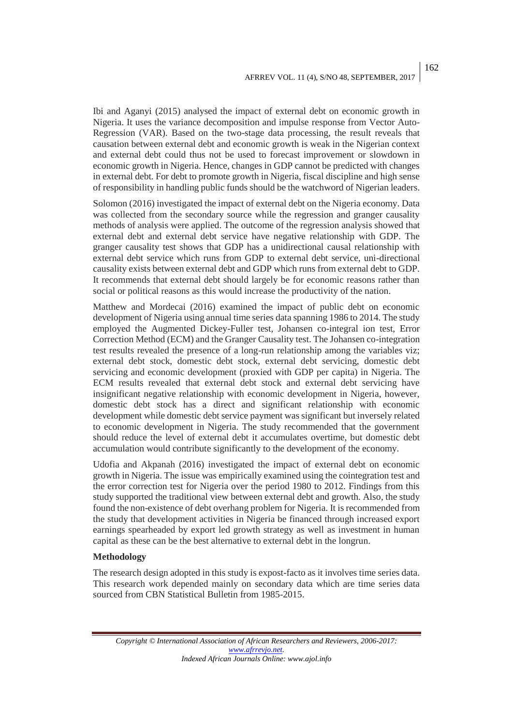Ibi and Aganyi (2015) analysed the impact of external debt on economic growth in Nigeria. It uses the variance decomposition and impulse response from Vector Auto-Regression (VAR). Based on the two-stage data processing, the result reveals that causation between external debt and economic growth is weak in the Nigerian context and external debt could thus not be used to forecast improvement or slowdown in economic growth in Nigeria. Hence, changes in GDP cannot be predicted with changes in external debt. For debt to promote growth in Nigeria, fiscal discipline and high sense of responsibility in handling public funds should be the watchword of Nigerian leaders.

Solomon (2016) investigated the impact of external debt on the Nigeria economy. Data was collected from the secondary source while the regression and granger causality methods of analysis were applied. The outcome of the regression analysis showed that external debt and external debt service have negative relationship with GDP. The granger causality test shows that GDP has a unidirectional causal relationship with external debt service which runs from GDP to external debt service, uni-directional causality exists between external debt and GDP which runs from external debt to GDP. It recommends that external debt should largely be for economic reasons rather than social or political reasons as this would increase the productivity of the nation.

Matthew and Mordecai (2016) examined the impact of public debt on economic development of Nigeria using annual time series data spanning 1986 to 2014. The study employed the Augmented Dickey-Fuller test, Johansen co-integral ion test, Error Correction Method (ECM) and the Granger Causality test. The Johansen co-integration test results revealed the presence of a long-run relationship among the variables viz; external debt stock, domestic debt stock, external debt servicing, domestic debt servicing and economic development (proxied with GDP per capita) in Nigeria. The ECM results revealed that external debt stock and external debt servicing have insignificant negative relationship with economic development in Nigeria, however, domestic debt stock has a direct and significant relationship with economic development while domestic debt service payment was significant but inversely related to economic development in Nigeria. The study recommended that the government should reduce the level of external debt it accumulates overtime, but domestic debt accumulation would contribute significantly to the development of the economy.

Udofia and Akpanah (2016) investigated the impact of external debt on economic growth in Nigeria. The issue was empirically examined using the cointegration test and the error correction test for Nigeria over the period 1980 to 2012. Findings from this study supported the traditional view between external debt and growth. Also, the study found the non-existence of debt overhang problem for Nigeria. It is recommended from the study that development activities in Nigeria be financed through increased export earnings spearheaded by export led growth strategy as well as investment in human capital as these can be the best alternative to external debt in the longrun.

# **Methodology**

The research design adopted in this study is expost-facto as it involves time series data. This research work depended mainly on secondary data which are time series data sourced from CBN Statistical Bulletin from 1985-2015.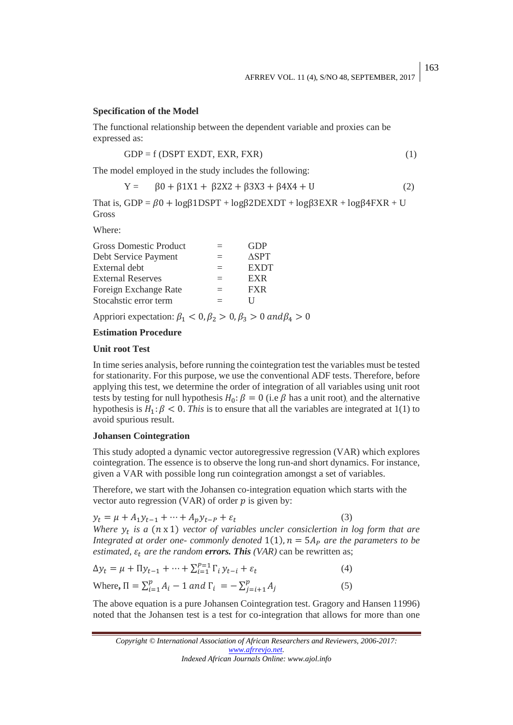### **Specification of the Model**

The functional relationship between the dependent variable and proxies can be expressed as:

$$
GDP = f (DSPT EXDT, EXR, FXR)
$$
\n<sup>(1)</sup>

The model employed in the study includes the following:

$$
Y = \beta 0 + \beta 1X1 + \beta 2X2 + \beta 3X3 + \beta 4X4 + U
$$
 (2)

That is,  $GDP = \beta 0 + log\beta 1DSPT + log\beta 2DEXDT + log\beta 3EXR + log\beta 4FXR + U$ Gross

Where:

| <b>Gross Domestic Product</b> |     | GDP         |
|-------------------------------|-----|-------------|
| Debt Service Payment          |     | <b>ASPT</b> |
| External debt                 |     | <b>EXDT</b> |
| <b>External Reserves</b>      | $=$ | <b>EXR</b>  |
| Foreign Exchange Rate         | $=$ | <b>FXR</b>  |
| Stocahstic error term         |     | H           |
|                               |     |             |

Appriori expectation:  $\beta_1 < 0, \beta_2 > 0, \beta_3 > 0$  and  $\beta_4 > 0$ 

# **Estimation Procedure**

# **Unit root Test**

In time series analysis, before running the cointegration test the variables must be tested for stationarity. For this purpose, we use the conventional ADF tests. Therefore, before applying this test, we determine the order of integration of all variables using unit root tests by testing for null hypothesis  $H_0: \beta = 0$  (i.e  $\beta$  has a unit root), and the alternative hypothesis is  $H_1: \beta < 0$ . This is to ensure that all the variables are integrated at 1(1) to avoid spurious result.

### **Johansen Cointegration**

This study adopted a dynamic vector autoregressive regression (VAR) which explores cointegration. The essence is to observe the long run-and short dynamics. For instance, given a VAR with possible long run cointegration amongst a set of variables.

Therefore, we start with the Johansen co-integration equation which starts with the vector auto regression (VAR) of order  $p$  is given by:

 $(3)$ 

$$
y_t = \mu + A_1 y_{t-1} + \dots + A_p y_{t-p} + \varepsilon_t
$$
 (3)  
Where  $y_t$  is a (n x 1) vector of variables under consideration in log form that are  
Integrated at order one commonly denoted 1(1),  $n = 5A_p$  are the parameters to be

*estimated,* 
$$
\varepsilon_t
$$
 *are the random **errors. This** (*VAR*) can be rewritten as;  
\n
$$
\Delta y_t = \mu + \Pi y_{t-1} + \dots + \sum_{i=1}^{P-1} \Gamma_i y_{t-i} + \varepsilon_t
$$
\n(4)*

Where,  $\Pi = \sum_{i=1}^{p} A_i - 1$  and  $\Gamma_i = -\sum_{j=i+1}^{p} A_j$  $j = i + 1$ (5)

The above equation is a pure Johansen Cointegration test. Gragory and Hansen 11996) noted that the Johansen test is a test for co-integration that allows for more than one

*Copyright © International Association of African Researchers and Reviewers, 2006-2017: [www.afrrevjo.net.](http://www.afrrevjo.net/)*

*Indexed African Journals Online: www.ajol.info*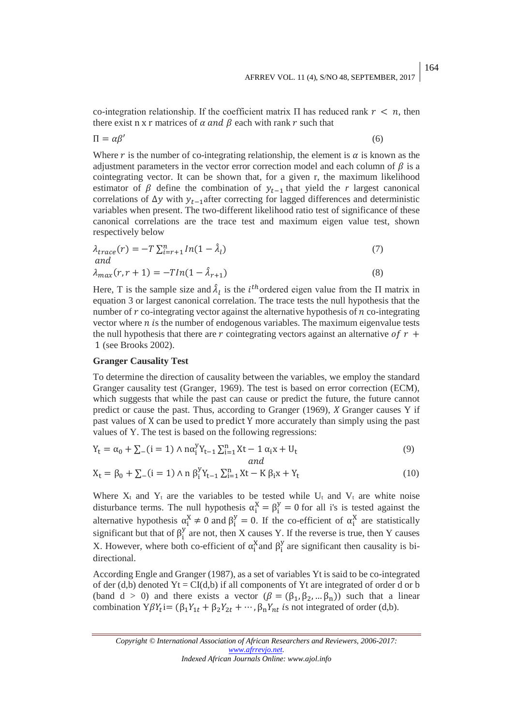co-integration relationship. If the coefficient matrix  $\Pi$  has reduced rank  $r < n$ , then there exist n x r matrices of  $\alpha$  and  $\beta$  each with rank r such that

$$
\Pi = \alpha \beta' \tag{6}
$$

Where r is the number of co-integrating relationship, the element is  $\alpha$  is known as the adjustment parameters in the vector error correction model and each column of  $\beta$  is a cointegrating vector. It can be shown that, for a given r, the maximum likelihood estimator of  $\beta$  define the combination of  $y_{t-1}$  that yield the *r* largest canonical correlations of  $\Delta y$  with  $y_{t-1}$  after correcting for lagged differences and deterministic variables when present. The two-different likelihood ratio test of significance of these canonical correlations are the trace test and maximum eigen value test, shown respectively below

$$
\lambda_{trace}(r) = -T \sum_{i=r+1}^{n} ln(1 - \hat{\lambda}_l)
$$
\n*and*\n
$$
\lambda_{max}(r, r+1) = -T ln(1 - \hat{\lambda}_{r+1})
$$
\n(8)

Here, T is the sample size and  $\hat{\lambda}_l$  is the *i*<sup>th</sup>ordered eigen value from the  $\Pi$  matrix in equation 3 or largest canonical correlation. The trace tests the null hypothesis that the number of  $r$  co-integrating vector against the alternative hypothesis of  $n$  co-integrating vector where  $n$  is the number of endogenous variables. The maximum eigenvalue tests the null hypothesis that there are  $r$  cointegrating vectors against an alternative of  $r +$ 1 (see Brooks 2002).

### **Granger Causality Test**

To determine the direction of causality between the variables, we employ the standard Granger causality test (Granger, 1969). The test is based on error correction (ECM), which suggests that while the past can cause or predict the future, the future cannot predict or cause the past. Thus, according to Granger  $(1969)$ , X Granger causes Y if past values of X can be used to predict Y more accurately than simply using the past values of Y. The test is based on the following regressions:

$$
Y_{t} = \alpha_{0} + \sum_{i} (i = 1) \wedge n \alpha_{i}^{y} Y_{t-1} \sum_{i=1}^{n} Xt - 1 \alpha_{i} X + U_{t}
$$
\n(9)

$$
X_{t} = \beta_{0} + \sum_{i} (i = 1) \land n \beta_{i}^{y} Y_{t-1} \sum_{i=1}^{n} Xt - K \beta_{i} X + Y_{t}
$$
\n(10)

Where  $X_t$  and  $Y_t$  are the variables to be tested while  $U_t$  and  $V_t$  are white noise disturbance terms. The null hypothesis  $\alpha_i^X = \beta_i^Y = 0$  for all i's is tested against the alternative hypothesis  $\alpha_i^X \neq 0$  and  $\beta_i^Y = 0$ . If the co-efficient of  $\alpha_i^X$  are statistically significant but that of  $\beta_i^y$  are not, then X causes Y. If the reverse is true, then Y causes X. However, where both co-efficient of  $\alpha_i^X$  and  $\beta_i^Y$  are significant then causality is bidirectional.

According Engle and Granger (1987), as a set of variables Yt is said to be co-integrated of der (d,b) denoted  $Yt = CI(d,b)$  if all components of Yt are integrated of order d or b (band d > 0) and there exists a vector  $(\beta = (\beta_1, \beta_2, ... \beta_n))$  such that a linear combination  $Y\beta Y_t$ i=  $(\beta_1 Y_{1t} + \beta_2 Y_{2t} + \cdots, \beta_n Y_{nt}$  is not integrated of order (d,b).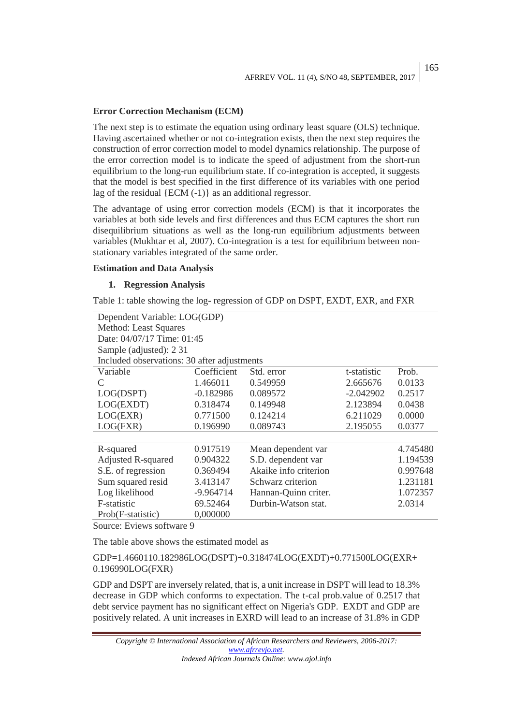### **Error Correction Mechanism (ECM)**

The next step is to estimate the equation using ordinary least square (OLS) technique. Having ascertained whether or not co-integration exists, then the next step requires the construction of error correction model to model dynamics relationship. The purpose of the error correction model is to indicate the speed of adjustment from the short-run equilibrium to the long-run equilibrium state. If co-integration is accepted, it suggests that the model is best specified in the first difference of its variables with one period lag of the residual {ECM (-1)} as an additional regressor.

The advantage of using error correction models (ECM) is that it incorporates the variables at both side levels and first differences and thus ECM captures the short run disequilibrium situations as well as the long-run equilibrium adjustments between variables (Mukhtar et al, 2007). Co-integration is a test for equilibrium between nonstationary variables integrated of the same order.

# **Estimation and Data Analysis**

### **1. Regression Analysis**

Table 1: table showing the log- regression of GDP on DSPT, EXDT, EXR, and FXR

| Dependent Variable: LOG(GDP)                |             |                       |             |          |
|---------------------------------------------|-------------|-----------------------|-------------|----------|
| Method: Least Squares                       |             |                       |             |          |
| Date: 04/07/17 Time: 01:45                  |             |                       |             |          |
| Sample (adjusted): 2 31                     |             |                       |             |          |
| Included observations: 30 after adjustments |             |                       |             |          |
| Variable                                    | Coefficient | Std. error            | t-statistic | Prob.    |
| C                                           | 1.466011    | 0.549959              | 2.665676    | 0.0133   |
| LOG(DSPT)                                   | $-0.182986$ | 0.089572              | $-2.042902$ | 0.2517   |
| LOG(EXDT)                                   | 0.318474    | 0.149948              | 2.123894    | 0.0438   |
| LOG(EXR)                                    | 0.771500    | 0.124214              | 6.211029    | 0.0000   |
| LOG(FXR)                                    | 0.196990    | 0.089743              | 2.195055    | 0.0377   |
|                                             |             |                       |             |          |
| R-squared                                   | 0.917519    | Mean dependent var    |             | 4.745480 |
| <b>Adjusted R-squared</b>                   | 0.904322    | S.D. dependent var    |             | 1.194539 |
| S.E. of regression                          | 0.369494    | Akaike info criterion |             | 0.997648 |
| Sum squared resid                           | 3.413147    | Schwarz criterion     |             | 1.231181 |
| Log likelihood                              | -9.964714   | Hannan-Quinn criter.  |             | 1.072357 |
| F-statistic                                 | 69.52464    | Durbin-Watson stat.   |             | 2.0314   |
| Prob(F-statistic)                           | 0,000000    |                       |             |          |
| Source: Eviews software 9                   |             |                       |             |          |

The table above shows the estimated model as

GDP=1.4660110.182986LOG(DSPT)+0.318474LOG(EXDT)+0.771500LOG(EXR+ 0.196990LOG(FXR)

GDP and DSPT are inversely related, that is, a unit increase in DSPT will lead to 18.3% decrease in GDP which conforms to expectation. The t-cal prob.value of 0.2517 that debt service payment has no significant effect on Nigeria's GDP. EXDT and GDP are positively related. A unit increases in EXRD will lead to an increase of 31.8% in GDP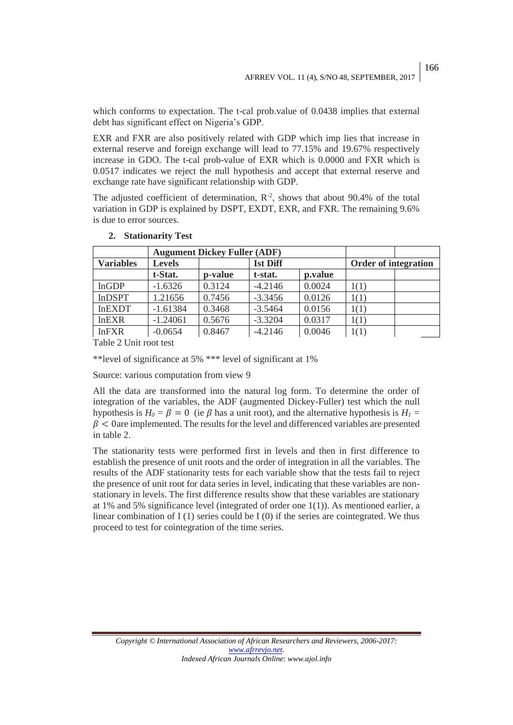which conforms to expectation. The t-cal prob.value of 0.0438 implies that external debt has significant effect on Nigeria's GDP.

EXR and FXR are also positively related with GDP which imp lies that increase in external reserve and foreign exchange will lead to 77.15% and 19.67% respectively increase in GDO. The t-cal prob-value of EXR which is 0.0000 and FXR which is 0.0517 indicates we reject the null hypothesis and accept that external reserve and exchange rate have significant relationship with GDP.

The adjusted coefficient of determination,  $R^{-2}$ , shows that about 90.4% of the total variation in GDP is explained by DSPT, EXDT, EXR, and FXR. The remaining 9.6% is due to error sources.

| <b>Augument Dickey Fuller (ADF)</b> |         |                 |         |      |                             |
|-------------------------------------|---------|-----------------|---------|------|-----------------------------|
| <b>Levels</b>                       |         | <b>Ist Diff</b> |         |      |                             |
| t-Stat.                             | p-value | t-stat.         | p.value |      |                             |
| $-1.6326$                           | 0.3124  | $-4.2146$       | 0.0024  | 1(1) |                             |
| 1.21656                             | 0.7456  | $-3.3456$       | 0.0126  | 1(1) |                             |
| $-1.61384$                          | 0.3468  | $-3.5464$       | 0.0156  | 1(1) |                             |
| $-1.24061$                          | 0.5676  | $-3.3204$       | 0.0317  | 1(1) |                             |
| $-0.0654$                           | 0.8467  | $-4.2146$       | 0.0046  | 1(1) |                             |
|                                     |         |                 |         |      | <b>Order of integration</b> |

### **2. Stationarity Test**

Table 2 Unit root test

\*\*level of significance at 5% \*\*\* level of significant at 1%

Source: various computation from view 9

All the data are transformed into the natural log form. To determine the order of integration of the variables, the ADF (augmented Dickey-Fuller) test which the null hypothesis is  $H_0 = \beta = 0$  (ie  $\beta$  has a unit root), and the alternative hypothesis is  $H_1 =$  $\beta$  < 0 are implemented. The results for the level and differenced variables are presented in table 2.

The stationarity tests were performed first in levels and then in first difference to establish the presence of unit roots and the order of integration in all the variables. The results of the ADF stationarity tests for each variable show that the tests fail to reject the presence of unit root for data series in level, indicating that these variables are nonstationary in levels. The first difference results show that these variables are stationary at 1% and 5% significance level (integrated of order one  $1(1)$ ). As mentioned earlier, a linear combination of  $I(1)$  series could be  $I(0)$  if the series are cointegrated. We thus proceed to test for cointegration of the time series.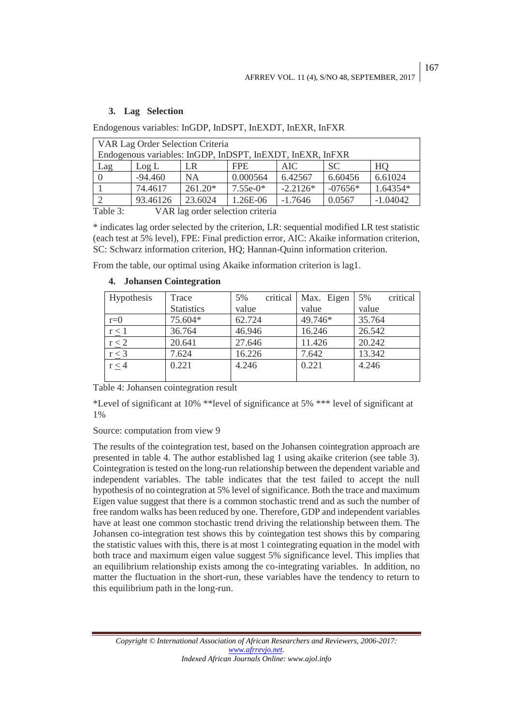# **3. Lag Selection**

Endogenous variables: InGDP, InDSPT, InEXDT, InEXR, InFXR

| VAR Lag Order Selection Criteria                          |                                               |           |            |            |           |            |  |
|-----------------------------------------------------------|-----------------------------------------------|-----------|------------|------------|-----------|------------|--|
| Endogenous variables: InGDP, InDSPT, InEXDT, InEXR, InFXR |                                               |           |            |            |           |            |  |
| Lag                                                       | SC.<br>HO<br>AIC<br><b>FPE</b><br>LR<br>Log L |           |            |            |           |            |  |
|                                                           | $-94.460$                                     | <b>NA</b> | 0.000564   | 6.42567    | 6.60456   | 6.61024    |  |
|                                                           | 74.4617                                       | $261.20*$ | $7.55e-0*$ | $-2.2126*$ | $-07656*$ | 1.64354*   |  |
|                                                           | 93.46126                                      | 23.6024   | 1.26E-06   | $-1.7646$  | 0.0567    | $-1.04042$ |  |
| Table 3.<br>VAR lag order selection criteria              |                                               |           |            |            |           |            |  |

VAR lag order selection criteria

\* indicates lag order selected by the criterion, LR: sequential modified LR test statistic (each test at 5% level), FPE: Final prediction error, AIC: Akaike information criterion, SC: Schwarz information criterion, HQ; Hannan-Quinn information criterion.

From the table, our optimal using Akaike information criterion is lag1.

| Hypothesis                            | Trace             | critical<br>5% | Max. Eigen | critical<br>5% |
|---------------------------------------|-------------------|----------------|------------|----------------|
|                                       | <b>Statistics</b> | value          | value      | value          |
| $r=0$                                 | 75.604*           | 62.724         | 49.746*    | 35.764         |
| $r\leq 1$                             | 36.764            | 46.946         | 16.246     | 26.542         |
| $r \leq 2$                            | 20.641            | 27.646         | 11.426     | 20.242         |
| $\frac{\frac{1}{r \leq 3}}{r \leq 4}$ | 7.624             | 16.226         | 7.642      | 13.342         |
|                                       | 0.221             | 4.246          | 0.221      | 4.246          |
|                                       |                   |                |            |                |

# **4. Johansen Cointegration**

Table 4: Johansen cointegration result

\*Level of significant at 10% \*\*level of significance at 5% \*\*\* level of significant at 1%

# Source: computation from view 9

The results of the cointegration test, based on the Johansen cointegration approach are presented in table 4. The author established lag 1 using akaike criterion (see table 3). Cointegration is tested on the long-run relationship between the dependent variable and independent variables. The table indicates that the test failed to accept the null hypothesis of no cointegration at 5% level of significance. Both the trace and maximum Eigen value suggest that there is a common stochastic trend and as such the number of free random walks has been reduced by one. Therefore, GDP and independent variables have at least one common stochastic trend driving the relationship between them. The Johansen co-integration test shows this by cointegation test shows this by comparing the statistic values with this, there is at most 1 cointegrating equation in the model with both trace and maximum eigen value suggest 5% significance level. This implies that an equilibrium relationship exists among the co-integrating variables. In addition, no matter the fluctuation in the short-run, these variables have the tendency to return to this equilibrium path in the long-run.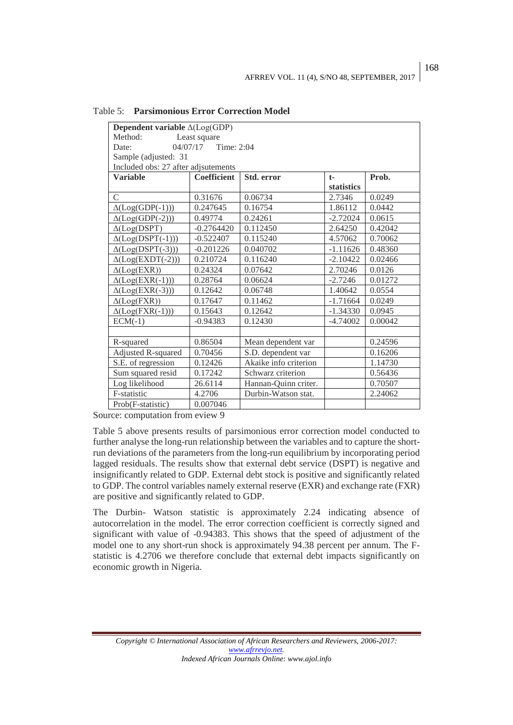| Dependent variable $\Delta$ (Log(GDP) |                              |                       |            |         |  |  |
|---------------------------------------|------------------------------|-----------------------|------------|---------|--|--|
| Method:<br>Least square               |                              |                       |            |         |  |  |
| Date:                                 | 04/07/17<br>Time: 2:04       |                       |            |         |  |  |
| Sample (adjusted: 31                  |                              |                       |            |         |  |  |
| Included obs: 27 after adjsutements   |                              |                       |            |         |  |  |
| <b>Variable</b>                       | <b>Coefficient</b>           | Std. error            | $t-$       | Prob.   |  |  |
|                                       |                              |                       | statistics |         |  |  |
| $\mathsf{C}$                          | 0.31676                      | 0.06734               | 2.7346     | 0.0249  |  |  |
| $\Delta (Log(GDP(-1)))$               | 0.247645                     | 0.16754               | 1.86112    | 0.0442  |  |  |
| $\Delta (Log(GDP(-2)))$               | 0.49774                      | 0.24261               | $-2.72024$ | 0.0615  |  |  |
| $\Delta$ (Log(DSPT)                   | $-0.2764420$                 | 0.112450              | 2.64250    | 0.42042 |  |  |
| $\Delta (Log(DSPT(-1)))$              | $-0.522407$                  | 0.115240              | 4.57062    | 0.70062 |  |  |
| $\Delta (Log(DSPT(-3)))$              | $-0.201226$                  | 0.040702              | $-1.11626$ | 0.48360 |  |  |
| $\Delta (Log(EXDT(-2)))$              | 0.210724                     | 0.116240              | $-2.10422$ | 0.02466 |  |  |
| $\Delta (Log(EXR))$                   | 0.24324                      | 0.07642               | 2.70246    | 0.0126  |  |  |
| $\Delta (Log(EXR(-1)))$               | 0.28764                      | 0.06624               | $-2.7246$  | 0.01272 |  |  |
| $\Delta (Log(EXR(-3)))$               | 0.12642                      | 0.06748               | 1.40642    | 0.0554  |  |  |
| $\Delta (Log(FXR))$                   | 0.17647                      | 0.11462               | $-1.71664$ | 0.0249  |  |  |
| $\Delta (Log(FXR(-1)))$               | 0.15643                      | 0.12642               | $-1.34330$ | 0.0945  |  |  |
| $ECM(-1)$                             | $-0.94383$                   | 0.12430               | $-4.74002$ | 0.00042 |  |  |
|                                       |                              |                       |            |         |  |  |
| R-squared                             | 0.86504                      | Mean dependent var    |            | 0.24596 |  |  |
| Adjusted R-squared                    | 0.70456                      | S.D. dependent var    |            | 0.16206 |  |  |
| S.E. of regression                    | 0.12426                      | Akaike info criterion |            | 1.14730 |  |  |
| Sum squared resid                     | 0.17242                      | Schwarz criterion     |            | 0.56436 |  |  |
| Log likelihood                        | 26.6114                      | Hannan-Quinn criter.  |            | 0.70507 |  |  |
| F-statistic                           | 4.2706                       | Durbin-Watson stat.   |            | 2.24062 |  |  |
| Prob(F-statistic)<br>$\sim$           | 0.007046<br>$\sim$<br>$\sim$ |                       |            |         |  |  |

Table 5: **Parsimonious Error Correction Model**

Source: computation from eview 9

Table 5 above presents results of parsimonious error correction model conducted to further analyse the long-run relationship between the variables and to capture the shortrun deviations of the parameters from the long-run equilibrium by incorporating period lagged residuals. The results show that external debt service (DSPT) is negative and insignificantly related to GDP. External debt stock is positive and significantly related to GDP. The control variables namely external reserve (EXR) and exchange rate (FXR) are positive and significantly related to GDP.

The Durbin- Watson statistic is approximately 2.24 indicating absence of autocorrelation in the model. The error correction coefficient is correctly signed and significant with value of -0.94383. This shows that the speed of adjustment of the model one to any short-run shock is approximately 94.38 percent per annum. The Fstatistic is 4.2706 we therefore conclude that external debt impacts significantly on economic growth in Nigeria.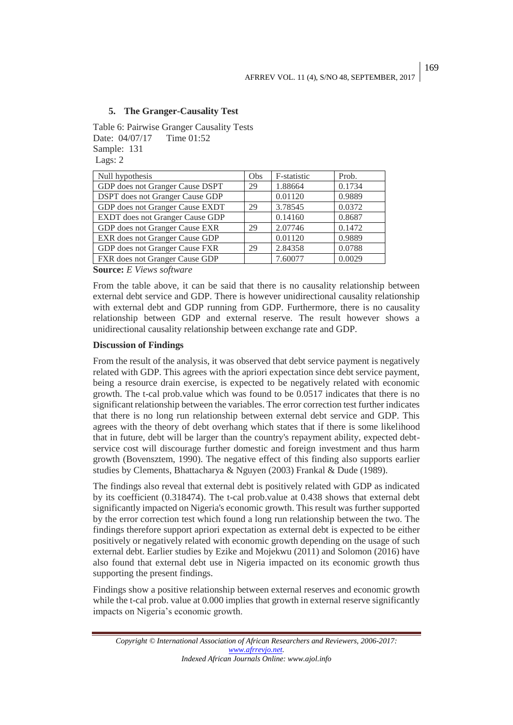# **5. The Granger-Causality Test**

Table 6: Pairwise Granger Causality Tests Date: 04/07/17 Time 01:52 Sample: 131 Lags: 2

| Null hypothesis                        | Obs | F-statistic | Prob.  |
|----------------------------------------|-----|-------------|--------|
| GDP does not Granger Cause DSPT        | 29  | 1.88664     | 0.1734 |
| DSPT does not Granger Cause GDP        |     | 0.01120     | 0.9889 |
| GDP does not Granger Cause EXDT        | 29  | 3.78545     | 0.0372 |
| <b>EXDT</b> does not Granger Cause GDP |     | 0.14160     | 0.8687 |
| GDP does not Granger Cause EXR         | 29  | 2.07746     | 0.1472 |
| EXR does not Granger Cause GDP         |     | 0.01120     | 0.9889 |
| GDP does not Granger Cause FXR         | 29  | 2.84358     | 0.0788 |
| FXR does not Granger Cause GDP         |     | 7.60077     | 0.0029 |

**Source:** *E Views software*

From the table above, it can be said that there is no causality relationship between external debt service and GDP. There is however unidirectional causality relationship with external debt and GDP running from GDP. Furthermore, there is no causality relationship between GDP and external reserve. The result however shows a unidirectional causality relationship between exchange rate and GDP.

# **Discussion of Findings**

From the result of the analysis, it was observed that debt service payment is negatively related with GDP. This agrees with the apriori expectation since debt service payment, being a resource drain exercise, is expected to be negatively related with economic growth. The t-cal prob.value which was found to be 0.0517 indicates that there is no significant relationship between the variables. The error correction test further indicates that there is no long run relationship between external debt service and GDP. This agrees with the theory of debt overhang which states that if there is some likelihood that in future, debt will be larger than the country's repayment ability, expected debtservice cost will discourage further domestic and foreign investment and thus harm growth (Bovensztem, 1990). The negative effect of this finding also supports earlier studies by Clements, Bhattacharya & Nguyen (2003) Frankal & Dude (1989).

The findings also reveal that external debt is positively related with GDP as indicated by its coefficient (0.318474). The t-cal prob.value at 0.438 shows that external debt significantly impacted on Nigeria's economic growth. This result was further supported by the error correction test which found a long run relationship between the two. The findings therefore support apriori expectation as external debt is expected to be either positively or negatively related with economic growth depending on the usage of such external debt. Earlier studies by Ezike and Mojekwu (2011) and Solomon (2016) have also found that external debt use in Nigeria impacted on its economic growth thus supporting the present findings.

Findings show a positive relationship between external reserves and economic growth while the t-cal prob. value at 0.000 implies that growth in external reserve significantly impacts on Nigeria's economic growth.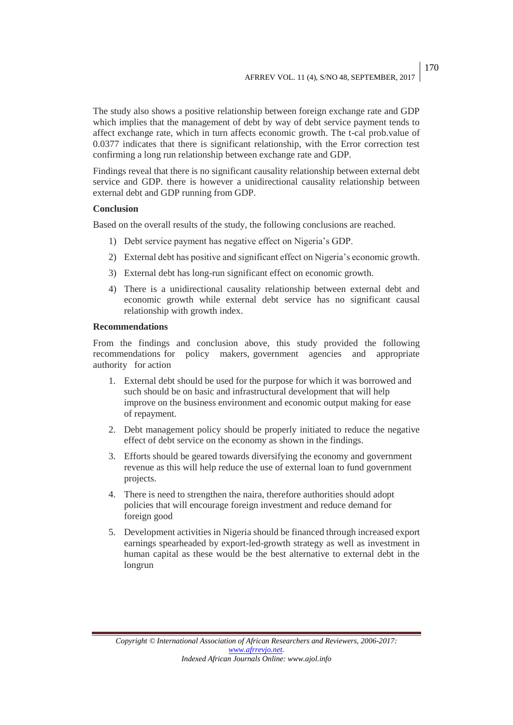The study also shows a positive relationship between foreign exchange rate and GDP which implies that the management of debt by way of debt service payment tends to affect exchange rate, which in turn affects economic growth. The t-cal prob.value of 0.0377 indicates that there is significant relationship, with the Error correction test confirming a long run relationship between exchange rate and GDP.

Findings reveal that there is no significant causality relationship between external debt service and GDP. there is however a unidirectional causality relationship between external debt and GDP running from GDP.

# **Conclusion**

Based on the overall results of the study, the following conclusions are reached.

- 1) Debt service payment has negative effect on Nigeria's GDP.
- 2) External debt has positive and significant effect on Nigeria's economic growth.
- 3) External debt has long-run significant effect on economic growth.
- 4) There is a unidirectional causality relationship between external debt and economic growth while external debt service has no significant causal relationship with growth index.

# **Recommendations**

From the findings and conclusion above, this study provided the following recommendations for policy makers, government agencies and appropriate authority for action

- 1. External debt should be used for the purpose for which it was borrowed and such should be on basic and infrastructural development that will help improve on the business environment and economic output making for ease of repayment.
- 2. Debt management policy should be properly initiated to reduce the negative effect of debt service on the economy as shown in the findings.
- 3. Efforts should be geared towards diversifying the economy and government revenue as this will help reduce the use of external loan to fund government projects.
- 4. There is need to strengthen the naira, therefore authorities should adopt policies that will encourage foreign investment and reduce demand for foreign good
- 5. Development activities in Nigeria should be financed through increased export earnings spearheaded by export-led-growth strategy as well as investment in human capital as these would be the best alternative to external debt in the longrun

170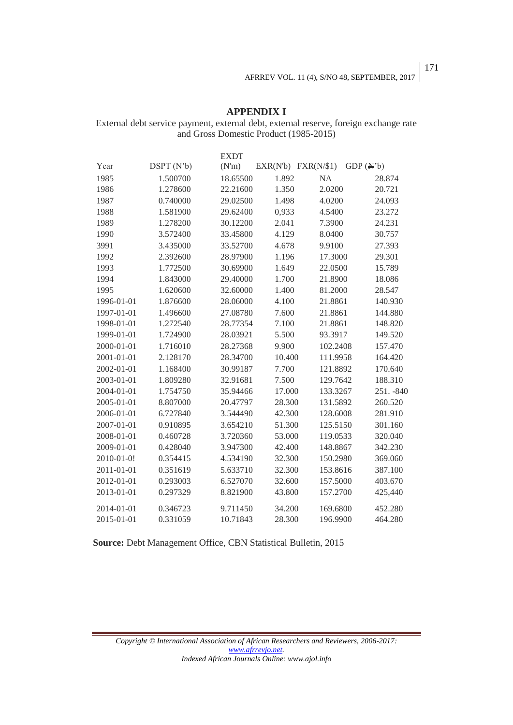# **APPENDIX I**

External debt service payment, external debt, external reserve, foreign exchange rate and Gross Domestic Product (1985-2015)

|            |            | <b>EXDT</b> |          |              |                             |
|------------|------------|-------------|----------|--------------|-----------------------------|
| Year       | DSPT (N'b) | (N'm)       | EXR(N'b) | $FXR(N/\$1)$ | $GDP(\mathbf{A}^{\prime}b)$ |
| 1985       | 1.500700   | 18.65500    | 1.892    | <b>NA</b>    | 28.874                      |
| 1986       | 1.278600   | 22.21600    | 1.350    | 2.0200       | 20.721                      |
| 1987       | 0.740000   | 29.02500    | 1.498    | 4.0200       | 24.093                      |
| 1988       | 1.581900   | 29.62400    | 0,933    | 4.5400       | 23.272                      |
| 1989       | 1.278200   | 30.12200    | 2.041    | 7.3900       | 24.231                      |
| 1990       | 3.572400   | 33.45800    | 4.129    | 8.0400       | 30.757                      |
| 3991       | 3.435000   | 33.52700    | 4.678    | 9.9100       | 27.393                      |
| 1992       | 2.392600   | 28.97900    | 1.196    | 17.3000      | 29.301                      |
| 1993       | 1.772500   | 30.69900    | 1.649    | 22.0500      | 15.789                      |
| 1994       | 1.843000   | 29.40000    | 1.700    | 21.8900      | 18.086                      |
| 1995       | 1.620600   | 32.60000    | 1.400    | 81.2000      | 28.547                      |
| 1996-01-01 | 1.876600   | 28.06000    | 4.100    | 21.8861      | 140.930                     |
| 1997-01-01 | 1.496600   | 27.08780    | 7.600    | 21.8861      | 144.880                     |
| 1998-01-01 | 1.272540   | 28.77354    | 7.100    | 21.8861      | 148.820                     |
| 1999-01-01 | 1.724900   | 28.03921    | 5.500    | 93.3917      | 149.520                     |
| 2000-01-01 | 1.716010   | 28.27368    | 9.900    | 102.2408     | 157.470                     |
| 2001-01-01 | 2.128170   | 28.34700    | 10.400   | 111.9958     | 164.420                     |
| 2002-01-01 | 1.168400   | 30.99187    | 7.700    | 121.8892     | 170.640                     |
| 2003-01-01 | 1.809280   | 32.91681    | 7.500    | 129.7642     | 188.310                     |
| 2004-01-01 | 1.754750   | 35.94466    | 17.000   | 133.3267     | $251. -840$                 |
| 2005-01-01 | 8.807000   | 20.47797    | 28.300   | 131.5892     | 260.520                     |
| 2006-01-01 | 6.727840   | 3.544490    | 42.300   | 128.6008     | 281.910                     |
| 2007-01-01 | 0.910895   | 3.654210    | 51.300   | 125.5150     | 301.160                     |
| 2008-01-01 | 0.460728   | 3.720360    | 53.000   | 119.0533     | 320.040                     |
| 2009-01-01 | 0.428040   | 3.947300    | 42.400   | 148.8867     | 342.230                     |
| 2010-01-0! | 0.354415   | 4.534190    | 32.300   | 150.2980     | 369.060                     |
| 2011-01-01 | 0.351619   | 5.633710    | 32.300   | 153.8616     | 387.100                     |
| 2012-01-01 | 0.293003   | 6.527070    | 32.600   | 157.5000     | 403.670                     |
| 2013-01-01 | 0.297329   | 8.821900    | 43.800   | 157.2700     | 425,440                     |
| 2014-01-01 | 0.346723   | 9.711450    | 34.200   | 169.6800     | 452.280                     |
| 2015-01-01 | 0.331059   | 10.71843    | 28.300   | 196.9900     | 464.280                     |

**Source:** Debt Management Office, CBN Statistical Bulletin, 2015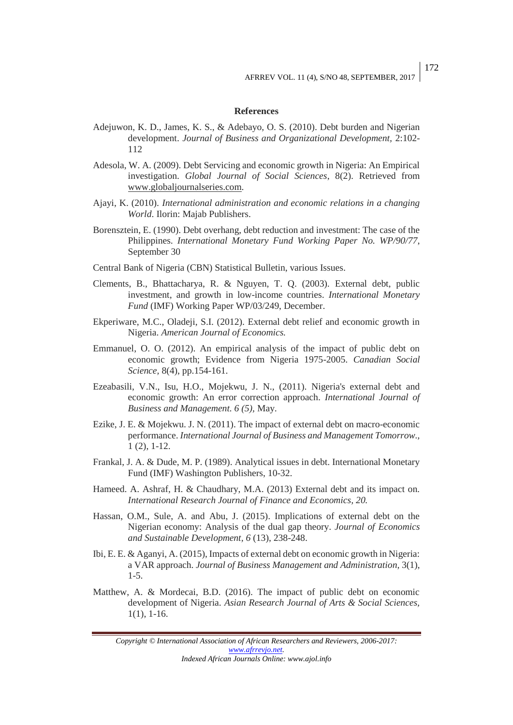### **References**

- Adejuwon, K. D., James, K. S., & Adebayo, O. S. (2010). Debt burden and Nigerian development. *Journal of Business and Organizational Development,* 2:102- 112
- Adesola, W. A. (2009). Debt Servicing and economic growth in Nigeria: An Empirical investigation. *Global Journal of Social Sciences*, 8(2). Retrieved from [www.globaljournalseries.com.](http://www.globaljournalseries.com/)
- Ajayi, K. (2010). *International administration and economic relations in a changing World*. Ilorin: Majab Publishers.
- Borensztein, E. (1990). Debt overhang, debt reduction and investment: The case of the Philippines. *International Monetary Fund Working Paper No. WP/90/77*, September 30
- Central Bank of Nigeria (CBN) Statistical Bulletin, various Issues.
- Clements, B., Bhattacharya, R. & Nguyen, T. Q. (2003). External debt, public investment, and growth in low-income countries. *International Monetary Fund* (IMF) Working Paper WP/03/249, December.
- Ekperiware, M.C., Oladeji, S.I. (2012). External debt relief and economic growth in Nigeria. *American Journal of Economics.*
- Emmanuel, O. O. (2012). An empirical analysis of the impact of public debt on economic growth; Evidence from Nigeria 1975-2005. *Canadian Social Science,* 8(4), pp.154-161.
- Ezeabasili, V.N., Isu, H.O., Mojekwu, J. N., (2011). Nigeria's external debt and economic growth: An error correction approach. *International Journal of Business and Management. 6 (5),* May.
- Ezike, J. E. & Mojekwu. J. N. (2011). The impact of external debt on macro-economic performance. *International Journal of Business and Management Tomorrow.,*  1 (2), 1-12.
- Frankal, J. A. & Dude, M. P. (1989). Analytical issues in debt. International Monetary Fund (IMF) Washington Publishers, 10-32.
- Hameed. A. Ashraf, H. & Chaudhary, M.A. (2013) External debt and its impact on. *International Research Journal of Finance and Economics, 20.*
- Hassan, O.M., Sule, A. and Abu, J. (2015). Implications of external debt on the Nigerian economy: Analysis of the dual gap theory. *Journal of Economics and Sustainable Development, 6* (13), 238-248.
- Ibi, E. E. & Aganyi, A. (2015), Impacts of external debt on economic growth in Nigeria: a VAR approach. *Journal of Business Management and Administration,* 3(1), 1-5.
- Matthew, A. & Mordecai, B.D. (2016). The impact of public debt on economic development of Nigeria. *Asian Research Journal of Arts & Social Sciences,*  1(1), 1-16.

*Indexed African Journals Online: www.ajol.info*

*Copyright © International Association of African Researchers and Reviewers, 2006-2017: [www.afrrevjo.net.](http://www.afrrevjo.net/)*